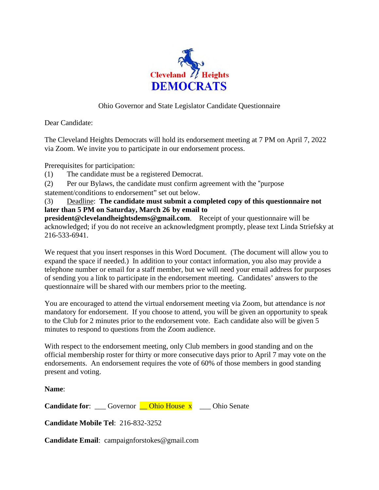

## Ohio Governor and State Legislator Candidate Questionnaire

Dear Candidate:

The Cleveland Heights Democrats will hold its endorsement meeting at 7 PM on April 7, 2022 via Zoom. We invite you to participate in our endorsement process.

Prerequisites for participation:

- (1) The candidate must be a registered Democrat.
- (2) Per our Bylaws, the candidate must confirm agreement with the "purpose
- statement/conditions to endorsement" set out below.

(3) Deadline: **The candidate must submit a completed copy of this questionnaire not later than 5 PM on Saturday, March 26 by email to** 

**president@clevelandheightsdems@gmail.com**. Receipt of your questionnaire will be acknowledged; if you do not receive an acknowledgment promptly, please text Linda Striefsky at 216-533-6941.

We request that you insert responses in this Word Document. (The document will allow you to expand the space if needed.) In addition to your contact information, you also may provide a telephone number or email for a staff member, but we will need your email address for purposes of sending you a link to participate in the endorsement meeting. Candidates' answers to the questionnaire will be shared with our members prior to the meeting.

You are encouraged to attend the virtual endorsement meeting via Zoom, but attendance is *not*  mandatory for endorsement. If you choose to attend, you will be given an opportunity to speak to the Club for 2 minutes prior to the endorsement vote. Each candidate also will be given 5 minutes to respond to questions from the Zoom audience.

With respect to the endorsement meeting, only Club members in good standing and on the official membership roster for thirty or more consecutive days prior to April 7 may vote on the endorsements. An endorsement requires the vote of 60% of those members in good standing present and voting.

**Name**:

**Candidate for:** Governor **Consulter Ohio House x** Ohio Senate

**Candidate Mobile Tel**: 216-832-3252

**Candidate Email**: campaignforstokes@gmail.com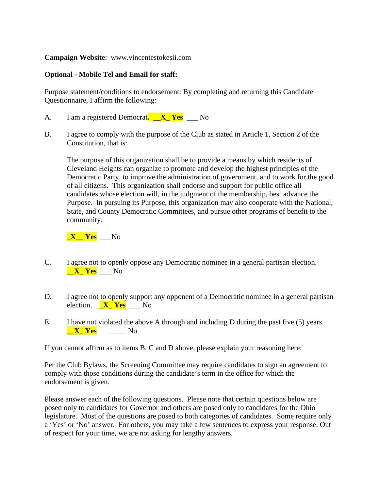**Campaign Website**: www.vincentestokesii.com

## **Optional - Mobile Tel and Email for staff:**

Purpose statement/conditions to endorsement: By completing and returning this Candidate Questionnaire, I affirm the following:

- A. I am a registered Democrat**. \_\_X\_ Yes** \_\_\_ No
- B. I agree to comply with the purpose of the Club as stated in Article 1, Section 2 of the Constitution, that is:

The purpose of this organization shall be to provide a means by which residents of Cleveland Heights can organize to promote and develop the highest principles of the Democratic Party, to improve the administration of government, and to work for the good of all citizens. This organization shall endorse and support for public office all candidates whose election will, in the judgment of the membership, best advance the Purpose. In pursuing its Purpose, this organization may also cooperate with the National, State, and County Democratic Committees, and pursue other programs of benefit to the community.

**\_X\_\_ Yes** \_\_\_No

- C. I agree not to openly oppose any Democratic nominee in a general partisan election. **\_\_X\_ Yes** \_\_\_ No
- D. I agree not to openly support any opponent of a Democratic nominee in a general partisan election. \_**\_X\_ Yes** \_\_\_ No
- E. I have not violated the above A through and including D during the past five (5) years. **Let**  $X$  **Yes**  $N<sub>0</sub>$

If you cannot affirm as to items B, C and D above, please explain your reasoning here:

Per the Club Bylaws, the Screening Committee may require candidates to sign an agreement to comply with those conditions during the candidate's term in the office for which the endorsement is given.

Please answer each of the following questions. Please note that certain questions below are posed only to candidates for Governor and others are posed only to candidates for the Ohio legislature. Most of the questions are posed to both categories of candidates. Some require only a 'Yes' or 'No' answer. For others, you may take a few sentences to express your response. Out of respect for your time, we are not asking for lengthy answers.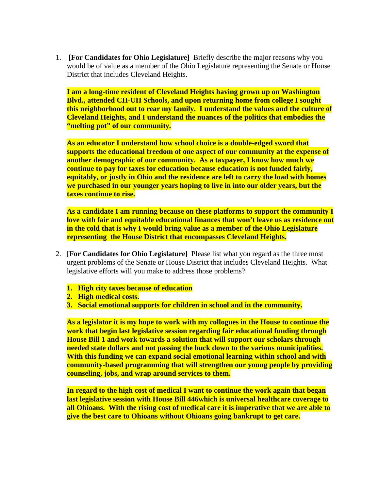1. **[For Candidates for Ohio Legislature]** Briefly describe the major reasons why you would be of value as a member of the Ohio Legislature representing the Senate or House District that includes Cleveland Heights.

**I am a long-time resident of Cleveland Heights having grown up on Washington Blvd., attended CH-UH Schools, and upon returning home from college I sought this neighborhood out to rear my family. I understand the values and the culture of Cleveland Heights, and I understand the nuances of the politics that embodies the "melting pot" of our community.** 

**As an educator I understand how school choice is a double-edged sword that supports the educational freedom of one aspect of our community at the expense of another demographic of our community. As a taxpayer, I know how much we continue to pay for taxes for education because education is not funded fairly, equitably, or justly in Ohio and the residence are left to carry the load with homes we purchased in our younger years hoping to live in into our older years, but the taxes continue to rise.** 

**As a candidate I am running because on these platforms to support the community I love with fair and equitable educational finances that won't leave us as residence out in the cold that is why I would bring value as a member of the Ohio Legislature representing the House District that encompasses Cleveland Heights.** 

- 2. **[For Candidates for Ohio Legislature]** Please list what you regard as the three most urgent problems of the Senate or House District that includes Cleveland Heights. What legislative efforts will you make to address those problems?
	- **1. High city taxes because of education**
	- **2. High medical costs.**
	- **3. Social emotional supports for children in school and in the community.**

**As a legislator it is my hope to work with my collogues in the House to continue the work that begin last legislative session regarding fair educational funding through House Bill 1 and work towards a solution that will support our scholars through needed state dollars and not passing the buck down to the various municipalities. With this funding we can expand social emotional learning within school and with community-based programming that will strengthen our young people by providing counseling, jobs, and wrap around services to them.** 

**In regard to the high cost of medical I want to continue the work again that began last legislative session with House Bill 446which is universal healthcare coverage to all Ohioans. With the rising cost of medical care it is imperative that we are able to give the best care to Ohioans without Ohioans going bankrupt to get care.**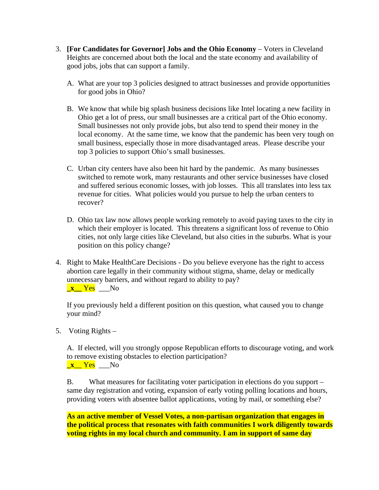- 3. **[For Candidates for Governor] Jobs and the Ohio Economy** Voters in Cleveland Heights are concerned about both the local and the state economy and availability of good jobs, jobs that can support a family.
	- A. What are your top 3 policies designed to attract businesses and provide opportunities for good jobs in Ohio?
	- B. We know that while big splash business decisions like Intel locating a new facility in Ohio get a lot of press, our small businesses are a critical part of the Ohio economy. Small businesses not only provide jobs, but also tend to spend their money in the local economy. At the same time, we know that the pandemic has been very tough on small business, especially those in more disadvantaged areas. Please describe your top 3 policies to support Ohio's small businesses.
	- C. Urban city centers have also been hit hard by the pandemic. As many businesses switched to remote work, many restaurants and other service businesses have closed and suffered serious economic losses, with job losses. This all translates into less tax revenue for cities. What policies would you pursue to help the urban centers to recover?
	- D. Ohio tax law now allows people working remotely to avoid paying taxes to the city in which their employer is located. This threatens a significant loss of revenue to Ohio cities, not only large cities like Cleveland, but also cities in the suburbs. What is your position on this policy change?
- 4. Right to Make HealthCare Decisions Do you believe everyone has the right to access abortion care legally in their community without stigma, shame, delay or medically unnecessary barriers, and without regard to ability to pay?

**\_x\_\_** Yes \_\_\_No

If you previously held a different position on this question, what caused you to change your mind?

5. Voting Rights –

A. If elected, will you strongly oppose Republican efforts to discourage voting, and work to remove existing obstacles to election participation?

**\_x**\_\_ Yes \_\_\_No

B. What measures for facilitating voter participation in elections do you support – same day registration and voting, expansion of early voting polling locations and hours, providing voters with absentee ballot applications, voting by mail, or something else?

**As an active member of Vessel Votes, a non-partisan organization that engages in the political process that resonates with faith communities I work diligently towards voting rights in my local church and community. I am in support of same day**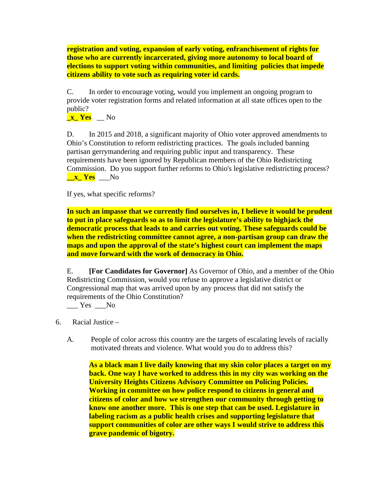**registration and voting, expansion of early voting, enfranchisement of rights for those who are currently incarcerated, giving more autonomy to local board of elections to support voting within communities, and limiting policies that impede citizens ability to vote such as requiring voter id cards.** 

C. In order to encourage voting, would you implement an ongoing program to provide voter registration forms and related information at all state offices open to the public?

**\_x\_ Yes** \_\_ No

D. In 2015 and 2018, a significant majority of Ohio voter approved amendments to Ohio's Constitution to reform redistricting practices. The goals included banning partisan gerrymandering and requiring public input and transparency. These requirements have been ignored by Republican members of the Ohio Redistricting Commission. Do you support further reforms to Ohio's legislative redistricting process? **Lacks N**<sub>O</sub>

If yes, what specific reforms?

**In such an impasse that we currently find ourselves in, I believe it would be prudent to put in place safeguards so as to limit the legislature's ability to highjack the democratic process that leads to and carries out voting. These safeguards could be when the redistricting committee cannot agree, a non-partisan group can draw the maps and upon the approval of the state's highest court can implement the maps and move forward with the work of democracy in Ohio.** 

E. **[For Candidates for Governor]** As Governor of Ohio, and a member of the Ohio Redistricting Commission, would you refuse to approve a legislative district or Congressional map that was arrived upon by any process that did not satisfy the requirements of the Ohio Constitution?

 $\_\_\_\$  Yes  $\_\_\$  No

6. Racial Justice –

A. People of color across this country are the targets of escalating levels of racially motivated threats and violence. What would you do to address this?

**As a black man I live daily knowing that my skin color places a target on my back. One way I have worked to address this in my city was working on the University Heights Citizens Advisory Committee on Policing Policies. Working in committee on how police respond to citizens in general and citizens of color and how we strengthen our community through getting to know one another more. This is one step that can be used. Legislature in labeling racism as a public health crises and supporting legislature that support communities of color are other ways I would strive to address this grave pandemic of bigotry.**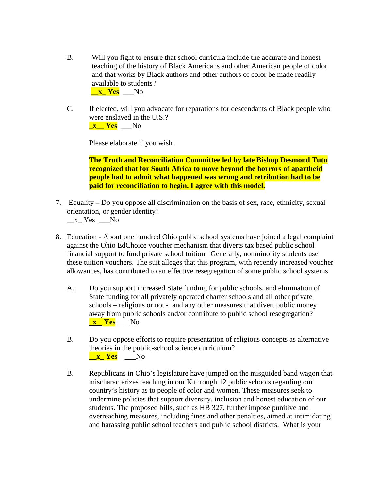B. Will you fight to ensure that school curricula include the accurate and honest teaching of the history of Black Americans and other American people of color and that works by Black authors and other authors of color be made readily available to students?

 **\_\_x\_ Yes** \_\_\_No

C. If elected, will you advocate for reparations for descendants of Black people who were enslaved in the U.S.? **\_x\_\_ Yes** \_\_\_No

Please elaborate if you wish.

**The Truth and Reconciliation Committee led by late Bishop Desmond Tutu recognized that for South Africa to move beyond the horrors of apartheid people had to admit what happened was wrong and retribution had to be paid for reconciliation to begin. I agree with this model.** 

- 7. Equality Do you oppose all discrimination on the basis of sex, race, ethnicity, sexual orientation, or gender identity?
	- \_\_x\_ Yes \_\_\_No
- 8. Education About one hundred Ohio public school systems have joined a legal complaint against the Ohio EdChoice voucher mechanism that diverts tax based public school financial support to fund private school tuition. Generally, nonminority students use these tuition vouchers. The suit alleges that this program, with recently increased voucher allowances, has contributed to an effective resegregation of some public school systems.
	- A. Do you support increased State funding for public schools, and elimination of State funding for all privately operated charter schools and all other private schools – religious or not - and any other measures that divert public money away from public schools and/or contribute to public school resegregation?  **x Yes** \_\_\_No
	- B. Do you oppose efforts to require presentation of religious concepts as alternative theories in the public-school science curriculum? **Luis X Yes No**
	- B. Republicans in Ohio's legislature have jumped on the misguided band wagon that mischaracterizes teaching in our K through 12 public schools regarding our country's history as to people of color and women. These measures seek to undermine policies that support diversity, inclusion and honest education of our students. The proposed bills, such as HB 327, further impose punitive and overreaching measures, including fines and other penalties, aimed at intimidating and harassing public school teachers and public school districts. What is your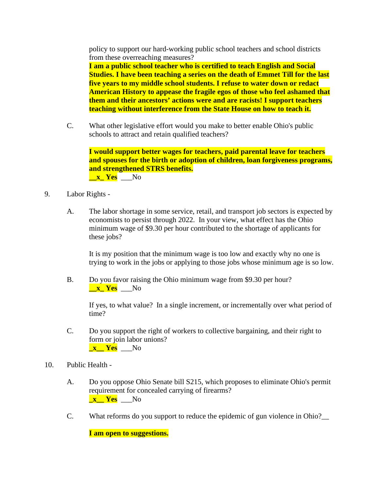policy to support our hard-working public school teachers and school districts from these overreaching measures?

**I am a public school teacher who is certified to teach English and Social Studies. I have been teaching a series on the death of Emmet Till for the last five years to my middle school students. I refuse to water down or redact American History to appease the fragile egos of those who feel ashamed that them and their ancestors' actions were and are racists! I support teachers teaching without interference from the State House on how to teach it.** 

C. What other legislative effort would you make to better enable Ohio's public schools to attract and retain qualified teachers?

**I would support better wages for teachers, paid parental leave for teachers and spouses for the birth or adoption of children, loan forgiveness programs, and strengthened STRS benefits.** 

*x* Yes No

- 9. Labor Rights
	- A. The labor shortage in some service, retail, and transport job sectors is expected by economists to persist through 2022. In your view, what effect has the Ohio minimum wage of \$9.30 per hour contributed to the shortage of applicants for these jobs?

It is my position that the minimum wage is too low and exactly why no one is trying to work in the jobs or applying to those jobs whose minimum age is so low.

B. Do you favor raising the Ohio minimum wage from \$9.30 per hour? **\_\_x\_ Yes** \_\_\_No

If yes, to what value? In a single increment, or incrementally over what period of time?

- C. Do you support the right of workers to collective bargaining, and their right to form or join labor unions? **\_x\_\_ Yes** \_\_\_No
- 10. Public Health
	- A. Do you oppose Ohio Senate bill S215, which proposes to eliminate Ohio's permit requirement for concealed carrying of firearms? **x** Yes No
	- C. What reforms do you support to reduce the epidemic of gun violence in Ohio?\_\_

**I am open to suggestions.**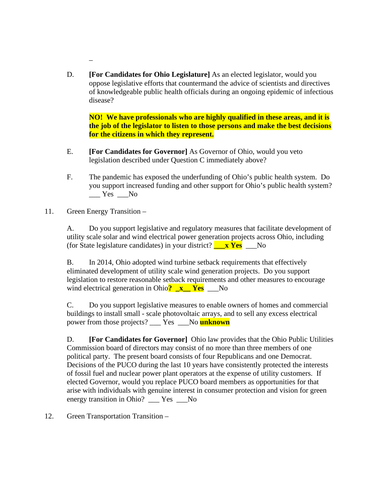D. **[For Candidates for Ohio Legislature]** As an elected legislator, would you oppose legislative efforts that countermand the advice of scientists and directives of knowledgeable public health officials during an ongoing epidemic of infectious disease?

**NO! We have professionals who are highly qualified in these areas, and it is the job of the legislator to listen to those persons and make the best decisions for the citizens in which they represent.** 

- E. **[For Candidates for Governor]** As Governor of Ohio, would you veto legislation described under Question C immediately above?
- F. The pandemic has exposed the underfunding of Ohio's public health system. Do you support increased funding and other support for Ohio's public health system?  $\_\_\_\$  Yes  $\_\_\$
- 11. Green Energy Transition –

 $\overline{a}$ 

A. Do you support legislative and regulatory measures that facilitate development of utility scale solar and wind electrical power generation projects across Ohio, including (for State legislature candidates) in your district? **\_\_\_x Yes** \_\_\_No

B. In 2014, Ohio adopted wind turbine setback requirements that effectively eliminated development of utility scale wind generation projects. Do you support legislation to restore reasonable setback requirements and other measures to encourage wind electrical generation in Ohio**? \_x\_\_ Yes** \_\_\_No

C. Do you support legislative measures to enable owners of homes and commercial buildings to install small - scale photovoltaic arrays, and to sell any excess electrical power from those projects? \_\_\_ Yes \_\_\_No **unknown**

D. **[For Candidates for Governor]** Ohio law provides that the Ohio Public Utilities Commission board of directors may consist of no more than three members of one political party. The present board consists of four Republicans and one Democrat. Decisions of the PUCO during the last 10 years have consistently protected the interests of fossil fuel and nuclear power plant operators at the expense of utility customers. If elected Governor, would you replace PUCO board members as opportunities for that arise with individuals with genuine interest in consumer protection and vision for green energy transition in Ohio? \_\_\_ Yes \_\_\_No

12. Green Transportation Transition –